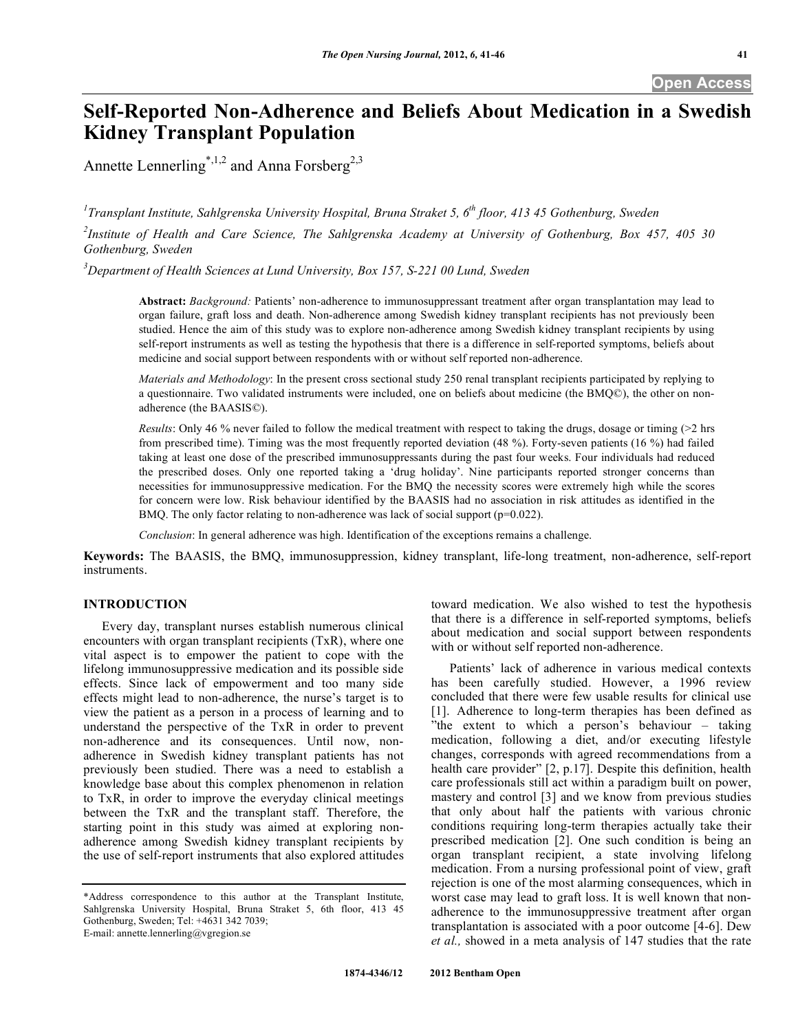# **Self-Reported Non-Adherence and Beliefs About Medication in a Swedish Kidney Transplant Population**

Annette Lennerling<sup>\*,1,2</sup> and Anna Forsberg<sup>2,3</sup>

<sup>1</sup> Transplant Institute, Sahlgrenska University Hospital, Bruna Straket 5, 6<sup>th</sup> floor, 413 45 Gothenburg, Sweden

*2 Institute of Health and Care Science, The Sahlgrenska Academy at University of Gothenburg, Box 457, 405 30 Gothenburg, Sweden* 

*3 Department of Health Sciences at Lund University, Box 157, S-221 00 Lund, Sweden* 

**Abstract:** *Background:* Patients' non-adherence to immunosuppressant treatment after organ transplantation may lead to organ failure, graft loss and death. Non-adherence among Swedish kidney transplant recipients has not previously been studied. Hence the aim of this study was to explore non-adherence among Swedish kidney transplant recipients by using self-report instruments as well as testing the hypothesis that there is a difference in self-reported symptoms, beliefs about medicine and social support between respondents with or without self reported non-adherence.

*Materials and Methodology*: In the present cross sectional study 250 renal transplant recipients participated by replying to a questionnaire. Two validated instruments were included, one on beliefs about medicine (the BMQ©), the other on nonadherence (the BAASIS©).

*Results*: Only 46 % never failed to follow the medical treatment with respect to taking the drugs, dosage or timing (>2 hrs from prescribed time). Timing was the most frequently reported deviation (48 %). Forty-seven patients (16 %) had failed taking at least one dose of the prescribed immunosuppressants during the past four weeks. Four individuals had reduced the prescribed doses. Only one reported taking a 'drug holiday'. Nine participants reported stronger concerns than necessities for immunosuppressive medication. For the BMQ the necessity scores were extremely high while the scores for concern were low. Risk behaviour identified by the BAASIS had no association in risk attitudes as identified in the BMQ. The only factor relating to non-adherence was lack of social support (p=0.022).

*Conclusion*: In general adherence was high. Identification of the exceptions remains a challenge.

**Keywords:** The BAASIS, the BMQ, immunosuppression, kidney transplant, life-long treatment, non-adherence, self-report instruments.

# **INTRODUCTION**

 Every day, transplant nurses establish numerous clinical encounters with organ transplant recipients (TxR), where one vital aspect is to empower the patient to cope with the lifelong immunosuppressive medication and its possible side effects. Since lack of empowerment and too many side effects might lead to non-adherence, the nurse's target is to view the patient as a person in a process of learning and to understand the perspective of the TxR in order to prevent non-adherence and its consequences. Until now, nonadherence in Swedish kidney transplant patients has not previously been studied. There was a need to establish a knowledge base about this complex phenomenon in relation to TxR, in order to improve the everyday clinical meetings between the TxR and the transplant staff. Therefore, the starting point in this study was aimed at exploring nonadherence among Swedish kidney transplant recipients by the use of self-report instruments that also explored attitudes

E-mail: annette.lennerling@vgregion.se

toward medication. We also wished to test the hypothesis that there is a difference in self-reported symptoms, beliefs about medication and social support between respondents with or without self reported non-adherence.

 Patients' lack of adherence in various medical contexts has been carefully studied. However, a 1996 review concluded that there were few usable results for clinical use [1]. Adherence to long-term therapies has been defined as "the extent to which a person's behaviour – taking medication, following a diet, and/or executing lifestyle changes, corresponds with agreed recommendations from a health care provider" [2, p.17]. Despite this definition, health care professionals still act within a paradigm built on power, mastery and control [3] and we know from previous studies that only about half the patients with various chronic conditions requiring long-term therapies actually take their prescribed medication [2]. One such condition is being an organ transplant recipient, a state involving lifelong medication. From a nursing professional point of view, graft rejection is one of the most alarming consequences, which in worst case may lead to graft loss. It is well known that nonadherence to the immunosuppressive treatment after organ transplantation is associated with a poor outcome [4-6]. Dew *et al.,* showed in a meta analysis of 147 studies that the rate

<sup>\*</sup>Address correspondence to this author at the Transplant Institute, Sahlgrenska University Hospital, Bruna Straket 5, 6th floor, 413 45 Gothenburg, Sweden; Tel: +4631 342 7039;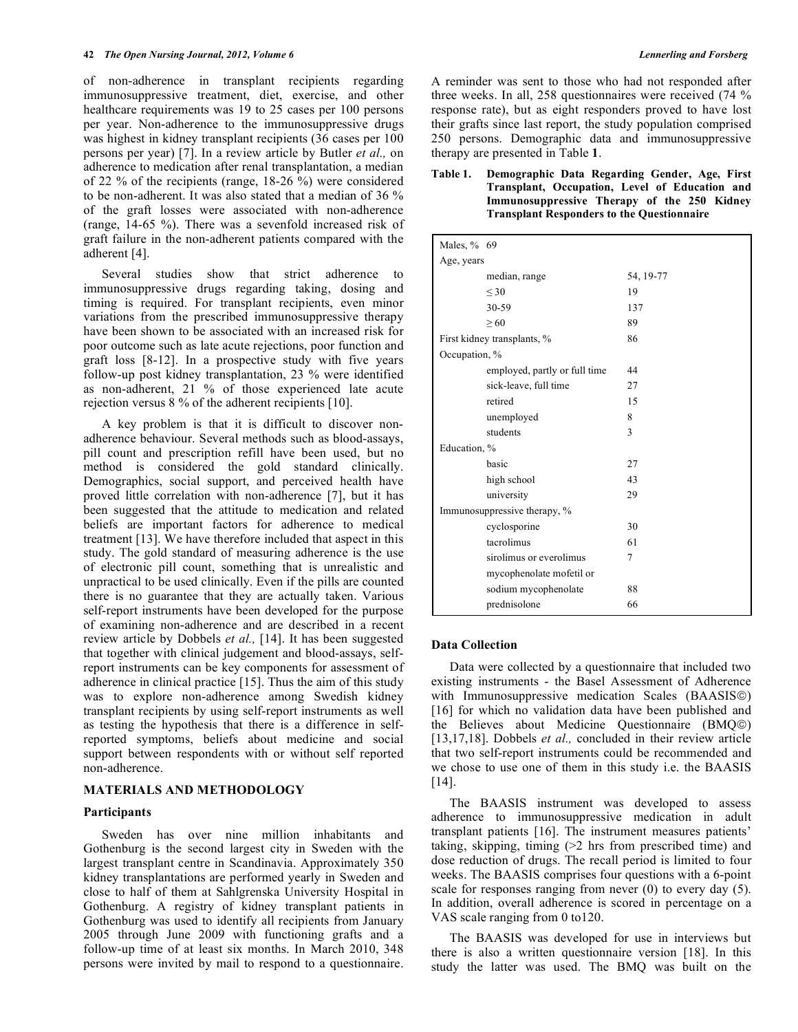of non-adherence in transplant recipients regarding immunosuppressive treatment, diet, exercise, and other healthcare requirements was 19 to 25 cases per 100 persons per year. Non-adherence to the immunosuppressive drugs was highest in kidney transplant recipients (36 cases per 100 persons per year) [7]. In a review article by Butler *et al.,* on adherence to medication after renal transplantation, a median of 22 % of the recipients (range, 18-26 %) were considered to be non-adherent. It was also stated that a median of 36 % of the graft losses were associated with non-adherence (range, 14-65 %). There was a sevenfold increased risk of graft failure in the non-adherent patients compared with the adherent [4].

 Several studies show that strict adherence to immunosuppressive drugs regarding taking, dosing and timing is required. For transplant recipients, even minor variations from the prescribed immunosuppressive therapy have been shown to be associated with an increased risk for poor outcome such as late acute rejections, poor function and graft loss [8-12]. In a prospective study with five years follow-up post kidney transplantation, 23 % were identified as non-adherent, 21 % of those experienced late acute rejection versus 8 % of the adherent recipients [10].

 A key problem is that it is difficult to discover nonadherence behaviour. Several methods such as blood-assays, pill count and prescription refill have been used, but no method is considered the gold standard clinically. Demographics, social support, and perceived health have proved little correlation with non-adherence [7], but it has been suggested that the attitude to medication and related beliefs are important factors for adherence to medical treatment [13]. We have therefore included that aspect in this study. The gold standard of measuring adherence is the use of electronic pill count, something that is unrealistic and unpractical to be used clinically. Even if the pills are counted there is no guarantee that they are actually taken. Various self-report instruments have been developed for the purpose of examining non-adherence and are described in a recent review article by Dobbels *et al.,* [14]. It has been suggested that together with clinical judgement and blood-assays, selfreport instruments can be key components for assessment of adherence in clinical practice [15]. Thus the aim of this study was to explore non-adherence among Swedish kidney transplant recipients by using self-report instruments as well as testing the hypothesis that there is a difference in selfreported symptoms, beliefs about medicine and social support between respondents with or without self reported non-adherence.

#### **MATERIALS AND METHODOLOGY**

#### **Participants**

 Sweden has over nine million inhabitants and Gothenburg is the second largest city in Sweden with the largest transplant centre in Scandinavia. Approximately 350 kidney transplantations are performed yearly in Sweden and close to half of them at Sahlgrenska University Hospital in Gothenburg. A registry of kidney transplant patients in Gothenburg was used to identify all recipients from January 2005 through June 2009 with functioning grafts and a follow-up time of at least six months. In March 2010, 348 persons were invited by mail to respond to a questionnaire.

A reminder was sent to those who had not responded after three weeks. In all, 258 questionnaires were received (74 % response rate), but as eight responders proved to have lost their grafts since last report, the study population comprised 250 persons. Demographic data and immunosuppressive therapy are presented in Table **1**.

**Table 1. Demographic Data Regarding Gender, Age, First Transplant, Occupation, Level of Education and Immunosuppressive Therapy of the 250 Kidney Transplant Responders to the Questionnaire** 

| Males, % 69                  |                               |           |  |  |  |  |
|------------------------------|-------------------------------|-----------|--|--|--|--|
| Age, years                   |                               |           |  |  |  |  |
|                              | median, range                 | 54, 19-77 |  |  |  |  |
|                              | $<$ 30                        | 19        |  |  |  |  |
|                              | 30-59                         | 137       |  |  |  |  |
|                              | > 60                          | 89        |  |  |  |  |
| First kidney transplants, %  |                               | 86        |  |  |  |  |
| Occupation, %                |                               |           |  |  |  |  |
|                              | employed, partly or full time | 44        |  |  |  |  |
|                              | sick-leave, full time         | 27        |  |  |  |  |
|                              | retired                       | 15        |  |  |  |  |
|                              | unemployed                    | 8         |  |  |  |  |
|                              | students                      | 3         |  |  |  |  |
| Education, %                 |                               |           |  |  |  |  |
|                              | basic                         | 27        |  |  |  |  |
|                              | high school                   | 43        |  |  |  |  |
|                              | university                    | 29        |  |  |  |  |
| Immunosuppressive therapy, % |                               |           |  |  |  |  |
|                              | cyclosporine                  | 30        |  |  |  |  |
|                              | tacrolimus                    | 61        |  |  |  |  |
|                              | sirolimus or everolimus       | 7         |  |  |  |  |
|                              | mycophenolate mofetil or      |           |  |  |  |  |
|                              | sodium mycophenolate          | 88        |  |  |  |  |
|                              | prednisolone                  | 66        |  |  |  |  |

#### **Data Collection**

 Data were collected by a questionnaire that included two existing instruments - the Basel Assessment of Adherence with Immunosuppressive medication Scales (BAASIS©) [16] for which no validation data have been published and the Believes about Medicine Questionnaire (BMQ<sup>©</sup>) [13,17,18]. Dobbels *et al.*, concluded in their review article that two self-report instruments could be recommended and we chose to use one of them in this study i.e. the BAASIS [14].

 The BAASIS instrument was developed to assess adherence to immunosuppressive medication in adult transplant patients [16]. The instrument measures patients' taking, skipping, timing (>2 hrs from prescribed time) and dose reduction of drugs. The recall period is limited to four weeks. The BAASIS comprises four questions with a 6-point scale for responses ranging from never (0) to every day (5). In addition, overall adherence is scored in percentage on a VAS scale ranging from 0 to120.

 The BAASIS was developed for use in interviews but there is also a written questionnaire version [18]. In this study the latter was used. The BMQ was built on the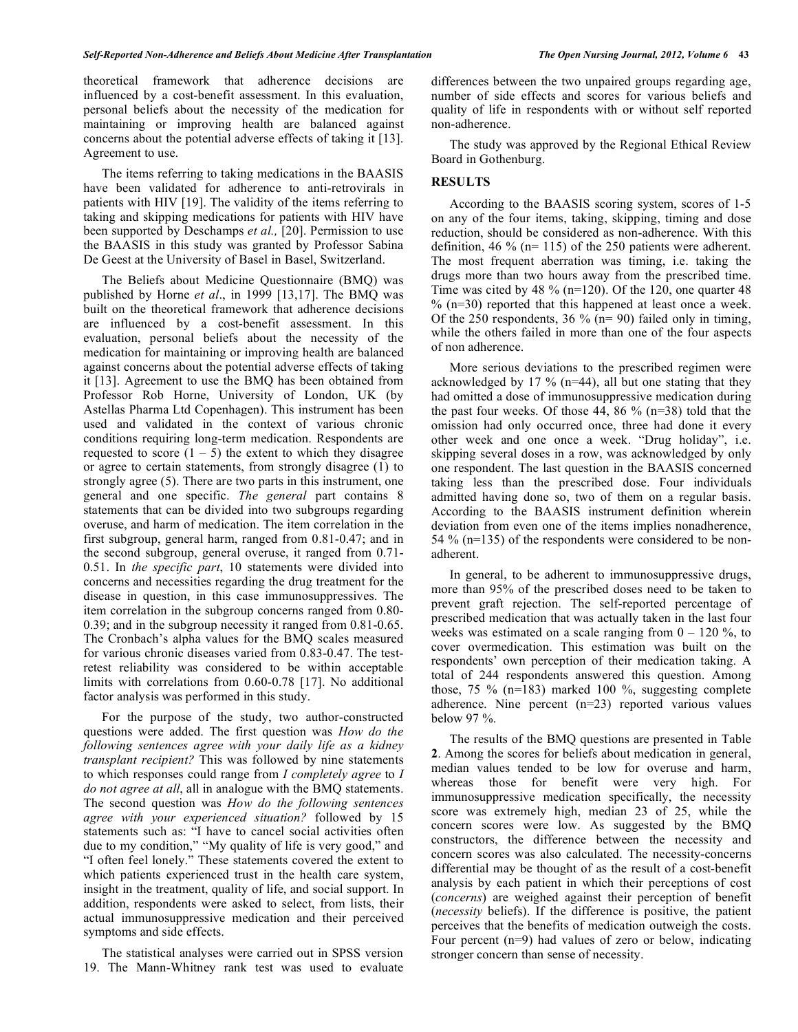theoretical framework that adherence decisions are influenced by a cost-benefit assessment. In this evaluation, personal beliefs about the necessity of the medication for maintaining or improving health are balanced against concerns about the potential adverse effects of taking it [13]. Agreement to use.

 The items referring to taking medications in the BAASIS have been validated for adherence to anti-retrovirals in patients with HIV [19]. The validity of the items referring to taking and skipping medications for patients with HIV have been supported by Deschamps *et al.,* [20]. Permission to use the BAASIS in this study was granted by Professor Sabina De Geest at the University of Basel in Basel, Switzerland.

 The Beliefs about Medicine Questionnaire (BMQ) was published by Horne *et al*., in 1999 [13,17]. The BMQ was built on the theoretical framework that adherence decisions are influenced by a cost-benefit assessment. In this evaluation, personal beliefs about the necessity of the medication for maintaining or improving health are balanced against concerns about the potential adverse effects of taking it [13]. Agreement to use the BMQ has been obtained from Professor Rob Horne, University of London, UK (by Astellas Pharma Ltd Copenhagen). This instrument has been used and validated in the context of various chronic conditions requiring long-term medication. Respondents are requested to score  $(1 - 5)$  the extent to which they disagree or agree to certain statements, from strongly disagree (1) to strongly agree (5). There are two parts in this instrument, one general and one specific. *The general* part contains 8 statements that can be divided into two subgroups regarding overuse, and harm of medication. The item correlation in the first subgroup, general harm, ranged from 0.81-0.47; and in the second subgroup, general overuse, it ranged from 0.71- 0.51. In *the specific part*, 10 statements were divided into concerns and necessities regarding the drug treatment for the disease in question, in this case immunosuppressives. The item correlation in the subgroup concerns ranged from 0.80- 0.39; and in the subgroup necessity it ranged from 0.81-0.65. The Cronbach's alpha values for the BMQ scales measured for various chronic diseases varied from 0.83-0.47. The testretest reliability was considered to be within acceptable limits with correlations from 0.60-0.78 [17]. No additional factor analysis was performed in this study.

 For the purpose of the study, two author-constructed questions were added. The first question was *How do the following sentences agree with your daily life as a kidney transplant recipient?* This was followed by nine statements to which responses could range from *I completely agree* to *I do not agree at all*, all in analogue with the BMQ statements. The second question was *How do the following sentences agree with your experienced situation?* followed by 15 statements such as: "I have to cancel social activities often due to my condition," "My quality of life is very good," and "I often feel lonely." These statements covered the extent to which patients experienced trust in the health care system, insight in the treatment, quality of life, and social support. In addition, respondents were asked to select, from lists, their actual immunosuppressive medication and their perceived symptoms and side effects.

 The statistical analyses were carried out in SPSS version 19. The Mann-Whitney rank test was used to evaluate differences between the two unpaired groups regarding age, number of side effects and scores for various beliefs and quality of life in respondents with or without self reported non-adherence.

 The study was approved by the Regional Ethical Review Board in Gothenburg.

#### **RESULTS**

 According to the BAASIS scoring system, scores of 1-5 on any of the four items, taking, skipping, timing and dose reduction, should be considered as non-adherence. With this definition, 46  $\%$  (n= 115) of the 250 patients were adherent. The most frequent aberration was timing, i.e. taking the drugs more than two hours away from the prescribed time. Time was cited by 48 % (n=120). Of the 120, one quarter 48  $% (n=30)$  reported that this happened at least once a week. Of the 250 respondents, 36 % ( $n=90$ ) failed only in timing, while the others failed in more than one of the four aspects of non adherence.

 More serious deviations to the prescribed regimen were acknowledged by 17 % (n=44), all but one stating that they had omitted a dose of immunosuppressive medication during the past four weeks. Of those  $44, 86 \%$  (n=38) told that the omission had only occurred once, three had done it every other week and one once a week. "Drug holiday", i.e. skipping several doses in a row, was acknowledged by only one respondent. The last question in the BAASIS concerned taking less than the prescribed dose. Four individuals admitted having done so, two of them on a regular basis. According to the BAASIS instrument definition wherein deviation from even one of the items implies nonadherence, 54 % (n=135) of the respondents were considered to be nonadherent.

 In general, to be adherent to immunosuppressive drugs, more than 95% of the prescribed doses need to be taken to prevent graft rejection. The self-reported percentage of prescribed medication that was actually taken in the last four weeks was estimated on a scale ranging from  $0 - 120$  %, to cover overmedication. This estimation was built on the respondents' own perception of their medication taking. A total of 244 respondents answered this question. Among those, 75 % (n=183) marked 100 %, suggesting complete adherence. Nine percent (n=23) reported various values below 97 %.

 The results of the BMQ questions are presented in Table **2**. Among the scores for beliefs about medication in general, median values tended to be low for overuse and harm, whereas those for benefit were very high. For immunosuppressive medication specifically, the necessity score was extremely high, median 23 of 25, while the concern scores were low. As suggested by the BMQ constructors, the difference between the necessity and concern scores was also calculated. The necessity-concerns differential may be thought of as the result of a cost-benefit analysis by each patient in which their perceptions of cost (*concerns*) are weighed against their perception of benefit (*necessity* beliefs). If the difference is positive, the patient perceives that the benefits of medication outweigh the costs. Four percent (n=9) had values of zero or below, indicating stronger concern than sense of necessity.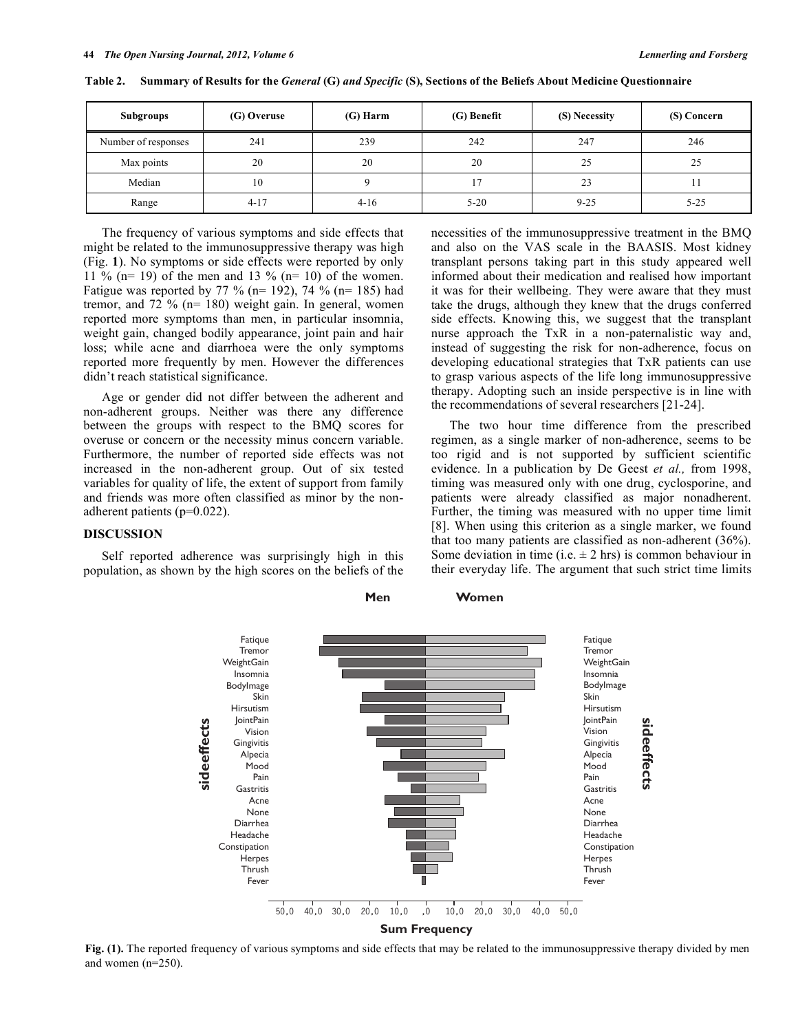| <b>Subgroups</b>    | (G) Overuse | (G) Harm | (G) Benefit | (S) Necessity | (S) Concern |
|---------------------|-------------|----------|-------------|---------------|-------------|
| Number of responses | 241         | 239      | 242         | 247           | 246         |
| Max points          | 20          | 20       | 20          | 25            | 25          |
| Median              | 10          |          |             | 23            | -14         |
| Range               | $4 - 17$    | $4-16$   | $5 - 20$    | $9 - 25$      | $5 - 25$    |

**Table 2. Summary of Results for the** *General* **(G)** *and Specific* **(S), Sections of the Beliefs About Medicine Questionnaire** 

 The frequency of various symptoms and side effects that might be related to the immunosuppressive therapy was high (Fig. **1**). No symptoms or side effects were reported by only 11 % (n= 19) of the men and 13 % (n= 10) of the women. Fatigue was reported by 77 % (n= 192), 74 % (n= 185) had tremor, and 72 % (n= 180) weight gain. In general, women reported more symptoms than men, in particular insomnia, weight gain, changed bodily appearance, joint pain and hair loss; while acne and diarrhoea were the only symptoms reported more frequently by men. However the differences didn't reach statistical significance.

 Age or gender did not differ between the adherent and non-adherent groups. Neither was there any difference between the groups with respect to the BMQ scores for overuse or concern or the necessity minus concern variable. Furthermore, the number of reported side effects was not increased in the non-adherent group. Out of six tested variables for quality of life, the extent of support from family and friends was more often classified as minor by the nonadherent patients (p=0.022).

# **DISCUSSION**

 Self reported adherence was surprisingly high in this population, as shown by the high scores on the beliefs of the necessities of the immunosuppressive treatment in the BMQ and also on the VAS scale in the BAASIS. Most kidney transplant persons taking part in this study appeared well informed about their medication and realised how important it was for their wellbeing. They were aware that they must take the drugs, although they knew that the drugs conferred side effects. Knowing this, we suggest that the transplant nurse approach the TxR in a non-paternalistic way and, instead of suggesting the risk for non-adherence, focus on developing educational strategies that TxR patients can use to grasp various aspects of the life long immunosuppressive therapy. Adopting such an inside perspective is in line with the recommendations of several researchers [21-24].

 The two hour time difference from the prescribed regimen, as a single marker of non-adherence, seems to be too rigid and is not supported by sufficient scientific evidence. In a publication by De Geest *et al.,* from 1998, timing was measured only with one drug, cyclosporine, and patients were already classified as major nonadherent. Further, the timing was measured with no upper time limit [8]. When using this criterion as a single marker, we found that too many patients are classified as non-adherent (36%). Some deviation in time (i.e.  $\pm$  2 hrs) is common behaviour in their everyday life. The argument that such strict time limits



**Men Women**

**Fig. (1).** The reported frequency of various symptoms and side effects that may be related to the immunosuppressive therapy divided by men and women (n=250).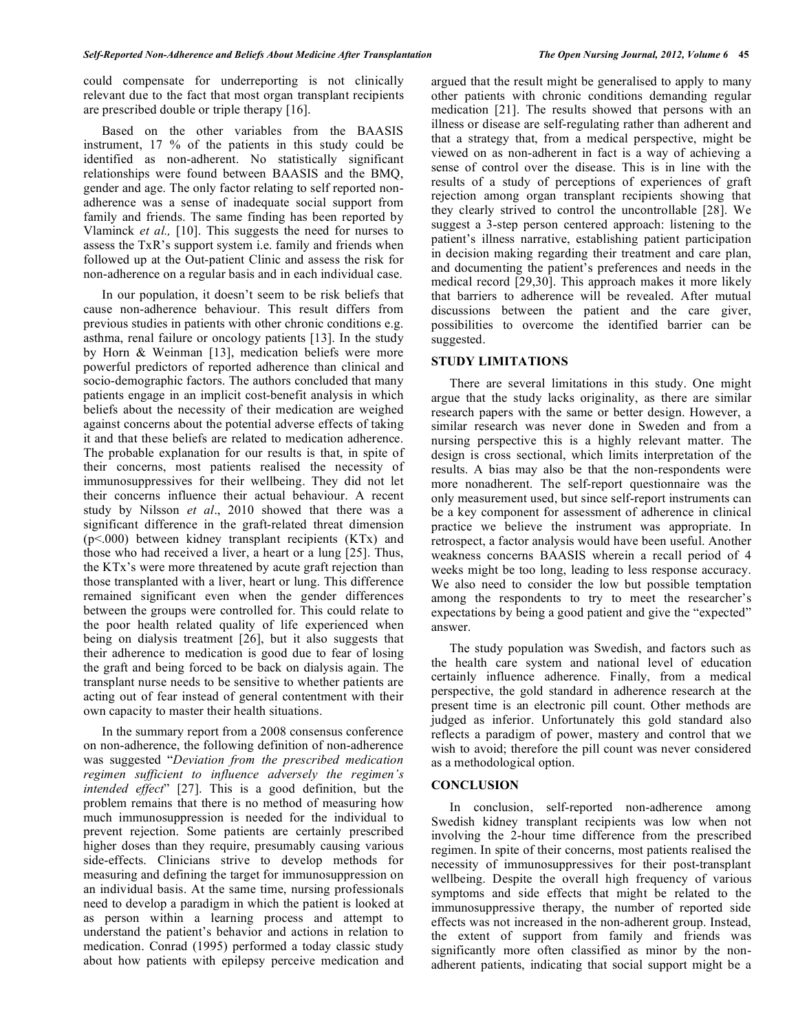could compensate for underreporting is not clinically relevant due to the fact that most organ transplant recipients are prescribed double or triple therapy [16].

 Based on the other variables from the BAASIS instrument, 17 % of the patients in this study could be identified as non-adherent. No statistically significant relationships were found between BAASIS and the BMQ, gender and age. The only factor relating to self reported nonadherence was a sense of inadequate social support from family and friends. The same finding has been reported by Vlaminck *et al.,* [10]. This suggests the need for nurses to assess the TxR's support system i.e. family and friends when followed up at the Out-patient Clinic and assess the risk for non-adherence on a regular basis and in each individual case.

 In our population, it doesn't seem to be risk beliefs that cause non-adherence behaviour. This result differs from previous studies in patients with other chronic conditions e.g. asthma, renal failure or oncology patients [13]. In the study by Horn & Weinman [13], medication beliefs were more powerful predictors of reported adherence than clinical and socio-demographic factors. The authors concluded that many patients engage in an implicit cost-benefit analysis in which beliefs about the necessity of their medication are weighed against concerns about the potential adverse effects of taking it and that these beliefs are related to medication adherence. The probable explanation for our results is that, in spite of their concerns, most patients realised the necessity of immunosuppressives for their wellbeing. They did not let their concerns influence their actual behaviour. A recent study by Nilsson *et al*., 2010 showed that there was a significant difference in the graft-related threat dimension (p<.000) between kidney transplant recipients (KTx) and those who had received a liver, a heart or a lung [25]. Thus, the KTx's were more threatened by acute graft rejection than those transplanted with a liver, heart or lung. This difference remained significant even when the gender differences between the groups were controlled for. This could relate to the poor health related quality of life experienced when being on dialysis treatment [26], but it also suggests that their adherence to medication is good due to fear of losing the graft and being forced to be back on dialysis again. The transplant nurse needs to be sensitive to whether patients are acting out of fear instead of general contentment with their own capacity to master their health situations.

 In the summary report from a 2008 consensus conference on non-adherence, the following definition of non-adherence was suggested "*Deviation from the prescribed medication regimen sufficient to influence adversely the regimen's intended effect*" [27]. This is a good definition, but the problem remains that there is no method of measuring how much immunosuppression is needed for the individual to prevent rejection. Some patients are certainly prescribed higher doses than they require, presumably causing various side-effects. Clinicians strive to develop methods for measuring and defining the target for immunosuppression on an individual basis. At the same time, nursing professionals need to develop a paradigm in which the patient is looked at as person within a learning process and attempt to understand the patient's behavior and actions in relation to medication. Conrad (1995) performed a today classic study about how patients with epilepsy perceive medication and

argued that the result might be generalised to apply to many other patients with chronic conditions demanding regular medication [21]. The results showed that persons with an illness or disease are self-regulating rather than adherent and that a strategy that, from a medical perspective, might be viewed on as non-adherent in fact is a way of achieving a sense of control over the disease. This is in line with the results of a study of perceptions of experiences of graft rejection among organ transplant recipients showing that they clearly strived to control the uncontrollable [28]. We suggest a 3-step person centered approach: listening to the patient's illness narrative, establishing patient participation in decision making regarding their treatment and care plan, and documenting the patient's preferences and needs in the medical record [29,30]. This approach makes it more likely that barriers to adherence will be revealed. After mutual discussions between the patient and the care giver, possibilities to overcome the identified barrier can be suggested.

#### **STUDY LIMITATIONS**

 There are several limitations in this study. One might argue that the study lacks originality, as there are similar research papers with the same or better design. However, a similar research was never done in Sweden and from a nursing perspective this is a highly relevant matter. The design is cross sectional, which limits interpretation of the results. A bias may also be that the non-respondents were more nonadherent. The self-report questionnaire was the only measurement used, but since self-report instruments can be a key component for assessment of adherence in clinical practice we believe the instrument was appropriate. In retrospect, a factor analysis would have been useful. Another weakness concerns BAASIS wherein a recall period of 4 weeks might be too long, leading to less response accuracy. We also need to consider the low but possible temptation among the respondents to try to meet the researcher's expectations by being a good patient and give the "expected" answer.

 The study population was Swedish, and factors such as the health care system and national level of education certainly influence adherence. Finally, from a medical perspective, the gold standard in adherence research at the present time is an electronic pill count. Other methods are judged as inferior. Unfortunately this gold standard also reflects a paradigm of power, mastery and control that we wish to avoid; therefore the pill count was never considered as a methodological option.

### **CONCLUSION**

 In conclusion, self-reported non-adherence among Swedish kidney transplant recipients was low when not involving the 2-hour time difference from the prescribed regimen. In spite of their concerns, most patients realised the necessity of immunosuppressives for their post-transplant wellbeing. Despite the overall high frequency of various symptoms and side effects that might be related to the immunosuppressive therapy, the number of reported side effects was not increased in the non-adherent group. Instead, the extent of support from family and friends was significantly more often classified as minor by the nonadherent patients, indicating that social support might be a